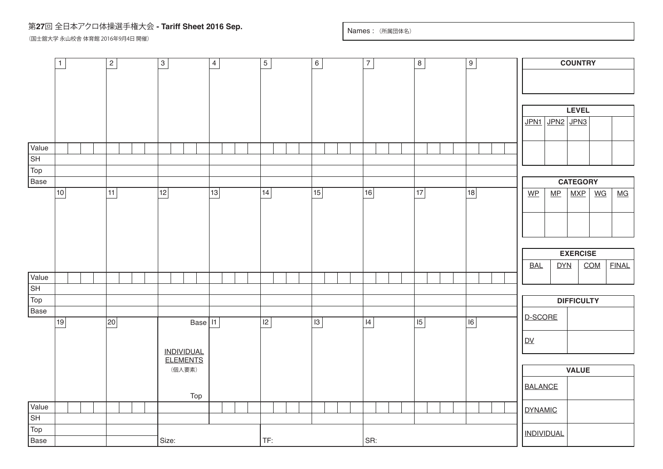## 第**27**回 全日本アクロ体操選手権大会 **- Tariff Sheet 2016 Sep.**

(国士舘大学 永山校舎 体育館 2016年9月4日 開催)

Names : (所属団体名)

|                          | $\overline{1}$ |  |  | $\frac{2}{ }$ |  |                                                | $\overline{3}$ |  |            |  | $\overline{4}$ |  |  |     | $\overline{5}$ |  |  |    | $6 \overline{}$ |  |  | $\overline{7}$ |  |  | $\,$ 8 $\,$ |    |  | $\frac{9}{2}$ |  |                |                 | <b>COUNTRY</b> |  |                                    |                 |                   |                   |                                    |              |  |  |
|--------------------------|----------------|--|--|---------------|--|------------------------------------------------|----------------|--|------------|--|----------------|--|--|-----|----------------|--|--|----|-----------------|--|--|----------------|--|--|-------------|----|--|---------------|--|----------------|-----------------|----------------|--|------------------------------------|-----------------|-------------------|-------------------|------------------------------------|--------------|--|--|
|                          |                |  |  |               |  |                                                |                |  |            |  |                |  |  |     |                |  |  |    |                 |  |  |                |  |  |             |    |  |               |  |                |                 |                |  |                                    |                 |                   |                   |                                    |              |  |  |
|                          |                |  |  |               |  |                                                |                |  |            |  |                |  |  |     |                |  |  |    |                 |  |  |                |  |  |             |    |  |               |  |                |                 |                |  |                                    |                 |                   |                   |                                    |              |  |  |
|                          |                |  |  |               |  |                                                |                |  |            |  |                |  |  |     |                |  |  |    |                 |  |  |                |  |  |             |    |  |               |  |                |                 |                |  |                                    |                 |                   |                   |                                    |              |  |  |
|                          |                |  |  |               |  |                                                |                |  |            |  |                |  |  |     |                |  |  |    |                 |  |  |                |  |  |             |    |  |               |  |                |                 |                |  |                                    |                 |                   | <b>LEVEL</b>      |                                    |              |  |  |
|                          |                |  |  |               |  |                                                |                |  |            |  |                |  |  |     |                |  |  |    |                 |  |  |                |  |  |             |    |  |               |  |                |                 |                |  | JPN1                               |                 |                   | JPN2 JPN3         |                                    |              |  |  |
| Value                    |                |  |  |               |  |                                                |                |  |            |  |                |  |  |     |                |  |  |    |                 |  |  |                |  |  |             |    |  |               |  |                |                 |                |  |                                    |                 |                   |                   |                                    |              |  |  |
| ST                       |                |  |  |               |  |                                                |                |  |            |  |                |  |  |     |                |  |  |    |                 |  |  |                |  |  |             |    |  |               |  |                |                 |                |  |                                    |                 |                   |                   |                                    |              |  |  |
| Top                      |                |  |  |               |  |                                                |                |  |            |  |                |  |  |     |                |  |  |    |                 |  |  |                |  |  |             |    |  |               |  |                |                 |                |  |                                    |                 |                   |                   |                                    |              |  |  |
| Base                     |                |  |  |               |  |                                                |                |  |            |  |                |  |  |     |                |  |  |    |                 |  |  |                |  |  |             |    |  |               |  |                |                 |                |  |                                    | <b>CATEGORY</b> |                   |                   |                                    |              |  |  |
|                          | 10             |  |  | 11            |  |                                                | 12             |  |            |  | $13$           |  |  | 14  |                |  |  | 15 |                 |  |  | 16             |  |  |             | 17 |  |               |  | 18             |                 |                |  | $WP$                               |                 | MP                | <b>MXP</b>        | $\underline{\mathsf{W}\mathsf{G}}$ | MG           |  |  |
|                          |                |  |  |               |  |                                                |                |  |            |  |                |  |  |     |                |  |  |    |                 |  |  |                |  |  |             |    |  |               |  |                |                 |                |  |                                    |                 |                   |                   |                                    |              |  |  |
|                          |                |  |  |               |  |                                                |                |  |            |  |                |  |  |     |                |  |  |    |                 |  |  |                |  |  |             |    |  |               |  |                |                 |                |  |                                    |                 |                   |                   |                                    |              |  |  |
|                          |                |  |  |               |  |                                                |                |  |            |  |                |  |  |     |                |  |  |    |                 |  |  |                |  |  |             |    |  |               |  |                |                 |                |  |                                    |                 |                   |                   |                                    |              |  |  |
|                          |                |  |  |               |  |                                                |                |  |            |  |                |  |  |     |                |  |  |    |                 |  |  |                |  |  |             |    |  |               |  |                | <b>EXERCISE</b> |                |  |                                    |                 |                   |                   |                                    |              |  |  |
|                          |                |  |  |               |  |                                                |                |  |            |  |                |  |  |     |                |  |  |    |                 |  |  |                |  |  |             |    |  |               |  |                |                 |                |  | <b>BAL</b>                         |                 | <b>DYN</b>        |                   | COM                                | <b>FINAL</b> |  |  |
| Value                    |                |  |  |               |  |                                                |                |  |            |  |                |  |  |     |                |  |  |    |                 |  |  |                |  |  |             |    |  |               |  |                |                 |                |  |                                    |                 |                   |                   |                                    |              |  |  |
| $\overline{\mathsf{SH}}$ |                |  |  |               |  |                                                |                |  |            |  |                |  |  |     |                |  |  |    |                 |  |  |                |  |  |             |    |  |               |  |                |                 |                |  |                                    |                 |                   |                   |                                    |              |  |  |
| Top                      |                |  |  |               |  |                                                |                |  |            |  |                |  |  |     |                |  |  |    |                 |  |  |                |  |  |             |    |  |               |  |                |                 |                |  |                                    |                 |                   | <b>DIFFICULTY</b> |                                    |              |  |  |
| Base                     |                |  |  |               |  |                                                |                |  |            |  |                |  |  |     |                |  |  |    |                 |  |  |                |  |  |             |    |  |               |  |                |                 |                |  |                                    |                 |                   |                   |                                    |              |  |  |
|                          | 19             |  |  | 20            |  |                                                |                |  | Base $ 1 $ |  |                |  |  | 2   |                |  |  | 3  |                 |  |  | $\sf I4$       |  |  |             | 5  |  |               |  | $\overline{6}$ |                 |                |  | <b>D-SCORE</b>                     |                 |                   |                   |                                    |              |  |  |
|                          |                |  |  |               |  |                                                |                |  |            |  |                |  |  |     |                |  |  |    |                 |  |  |                |  |  |             |    |  |               |  |                |                 |                |  |                                    |                 |                   |                   |                                    |              |  |  |
|                          |                |  |  |               |  |                                                |                |  |            |  |                |  |  |     |                |  |  |    |                 |  |  |                |  |  |             |    |  |               |  |                |                 |                |  | $\underline{\mathsf{D}\mathsf{V}}$ |                 |                   |                   |                                    |              |  |  |
|                          |                |  |  |               |  | <b>INDIVIDUAL</b><br><b>ELEMENTS</b><br>(個人要素) |                |  |            |  |                |  |  |     |                |  |  |    |                 |  |  |                |  |  |             |    |  |               |  |                |                 |                |  |                                    |                 |                   |                   |                                    |              |  |  |
|                          |                |  |  |               |  |                                                |                |  |            |  |                |  |  |     |                |  |  |    |                 |  |  |                |  |  |             |    |  |               |  |                |                 |                |  |                                    | <b>VALUE</b>    |                   |                   |                                    |              |  |  |
|                          |                |  |  |               |  |                                                |                |  |            |  |                |  |  |     |                |  |  |    |                 |  |  |                |  |  |             |    |  |               |  |                |                 |                |  | <b>BALANCE</b>                     |                 |                   |                   |                                    |              |  |  |
|                          |                |  |  |               |  |                                                |                |  | Top        |  |                |  |  |     |                |  |  |    |                 |  |  |                |  |  |             |    |  |               |  |                |                 |                |  |                                    |                 |                   |                   |                                    |              |  |  |
| Value                    |                |  |  |               |  |                                                |                |  |            |  |                |  |  |     |                |  |  |    |                 |  |  |                |  |  |             |    |  |               |  |                |                 |                |  | <b>DYNAMIC</b>                     |                 |                   |                   |                                    |              |  |  |
| SH                       |                |  |  |               |  |                                                |                |  |            |  |                |  |  |     |                |  |  |    |                 |  |  |                |  |  |             |    |  |               |  |                |                 |                |  |                                    |                 |                   |                   |                                    |              |  |  |
| Top                      |                |  |  |               |  |                                                |                |  |            |  |                |  |  |     |                |  |  |    |                 |  |  |                |  |  |             |    |  |               |  |                |                 |                |  |                                    |                 | <b>INDIVIDUAL</b> |                   |                                    |              |  |  |
| Base                     |                |  |  |               |  |                                                | Size:          |  |            |  |                |  |  | TF: |                |  |  |    |                 |  |  | SR:            |  |  |             |    |  |               |  |                |                 |                |  |                                    |                 |                   |                   |                                    |              |  |  |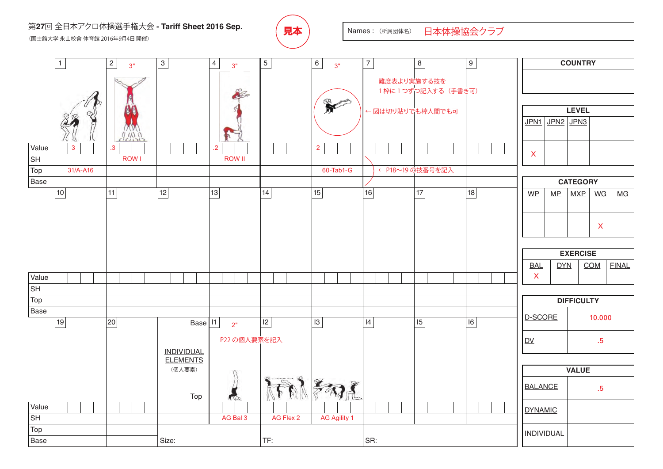## 第27回 全日本アクロ体操選手権大会 **- Tariff Sheet 2016 Sep.** *(* **自太 )** Names : (所属団体名) (国士舘大学 永山校舎 体育館 2016年9月4日 開催)



日本体操協会クラブ

**COUNTRY** 1 2 3 4 5 6 7 8 9 3" 3" 3" 難度表より実施する技を 1枠に1つずつ記入する (手書き可) 2<sub>Co</sub> R **LEVEL** ← 図は切り貼りでも棒人間でも可 JPN1 JPN2 JPN3 Value 3 .3 .2 2 X lsн ROW I ROW II Top ← P18~19 の技番号を記入31/A-A16 | | | | | | | | | | | | 60-Tab1-G Base **CATEGORY**  $WP$  MP  $MXP$  WG MG 10 | 11 | 12 | 13 | 14 | 15 | 16 | 17 | 17 X **EXERCISE** BAL DYN COM FINAL X Value SH Top **DIFFICULTY** Base D-SCORE 10.000 Base | I1 | 19 | 20 | Base | 11 | 2<sub>"</sub> | 12 | 13 | 14 | 14 | 15 | 16 2" P22 の個人要素を記入 DV .5 INDIVIDUAL ELEMENTS (個人要素) **VALUE** そねま BALANCE .5 Top Value DYNAMIC **SH** AG Bal 3 | AG Flex 2 | AG Agility 1 Top INDIVIDUAL Base Size: TF: SR: